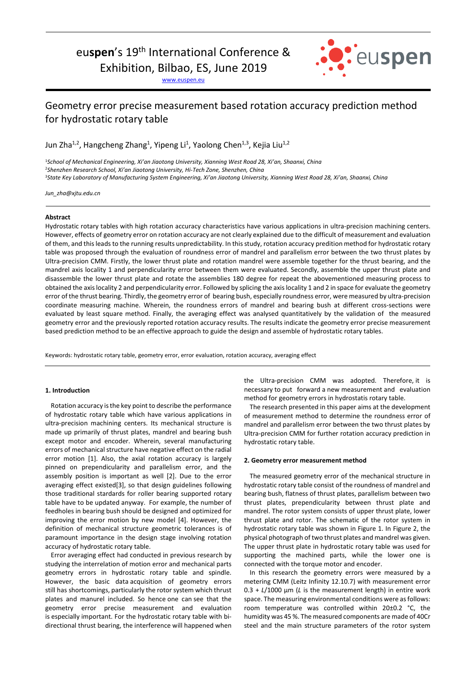# euspen's 19<sup>th</sup> International Conference &

Exhibition, Bilbao, ES, June 2019

www.euspen.eu



# Geometry error precise measurement based rotation accuracy prediction method for hydrostatic rotary table

Jun Zha<sup>1,2</sup>, Hangcheng Zhang<sup>1</sup>, Yipeng Li<sup>1</sup>, Yaolong Chen<sup>1,3</sup>, Kejia Liu<sup>1,2</sup>

<sup>1</sup>*School of Mechanical Engineering, Xi'an Jiaotong University, Xianning West Road 28, Xi'an, Shaanxi, China*  <sup>2</sup>*Shenzhen Research School, Xi'an Jiaotong University, Hi-Tech Zone, Shenzhen, China* <sup>3</sup>*State Key Laboratory of Manufacturing System Engineering, Xi'an Jiaotong University, Xianning West Road 28, Xi'an, Shaanxi, China* 

*Jun\_zha@xjtu.edu.cn* 

#### **Abstract**

Hydrostatic rotary tables with high rotation accuracy characteristics have various applications in ultra-precision machining centers. However, effects of geometry error on rotation accuracy are not clearly explained due to the difficult of measurement and evaluation of them, and this leads to the running results unpredictability. In this study, rotation accuracy predition method for hydrostatic rotary table was proposed through the evaluation of roundness error of mandrel and parallelism error between the two thrust plates by Ultra-precision CMM. Firstly, the lower thrust plate and rotation mandrel were assemble together for the thrust bearing, and the mandrel axis locality 1 and perpendicularity error between them were evaluated. Secondly, assemble the upper thrust plate and disassemble the lower thrust plate and rotate the assemblies 180 degree for repeat the abovementioned measuring process to obtained the axis locality 2 and perpendicularity error. Followed by splicing the axis locality 1 and 2 in space for evaluate the geometry error of the thrust bearing. Thirdly, the geometry error of bearing bush, especially roundness error, were measured by ultra-precision coordinate measuring machine. Wherein, the roundness errors of mandrel and bearing bush at different cross-sections were evaluated by least square method. Finally, the averaging effect was analysed quantitatively by the validation of the measured geometry error and the previously reported rotation accuracy results. The results indicate the geometry error precise measurement based prediction method to be an effective approach to guide the design and assemble of hydrostatic rotary tables.

Keywords: hydrostatic rotary table, geometry error, error evaluation, rotation accuracy, averaging effect

# **1. Introduction**

Rotation accuracy is the key point to describe the performance of hydrostatic rotary table which have various applications in ultra-precision machining centers. Its mechanical structure is made up primarily of thrust plates, mandrel and bearing bush except motor and encoder. Wherein, several manufacturing errors of mechanical structure have negative effect on the radial error motion [1]. Also, the axial rotation accuracy is largely pinned on prependicularity and parallelism error, and the assembly position is important as well [2]. Due to the error averaging effect existed[3], so that design guidelines following those traditional stardards for roller bearing supported rotary table have to be updated anyway. For example, the number of feedholes in bearing bush should be designed and optimized for improving the error motion by new model [4]. However, the definition of mechanical structure geometric tolerances is of paramount importance in the design stage involving rotation accuracy of hydrostatic rotary table.

Error averaging effect had conducted in previous research by studying the interrelation of motion error and mechanical parts geometry errors in hydrostatic rotary table and spindle. However, the basic data acquisition of geometry errors still has shortcomings, particularly the rotor system which thrust plates and manurel included. So hence one can see that the geometry error precise measurement and evaluation is especially important. For the hydrostatic rotary table with bidirectional thrust bearing, the interference will happened when the Ultra-precision CMM was adopted. Therefore, it is necessary to put forward a new measurement and evaluation method for geometry errors in hydrostatis rotary table.

The research presented in this paper aims at the development of measurement method to determine the roundness error of mandrel and parallelism error between the two thrust plates by Ultra-precision CMM for further rotation accuracy prediction in hydrostatic rotary table.

#### **2. Geometry error measurement method**

The measured geometry error of the mechanical structure in hydrostatic rotary table consist of the roundness of mandrel and bearing bush, flatness of thrust plates, parallelism between two thrust plates, prependicularity between thrust plate and mandrel. The rotor system consists of upper thrust plate, lower thrust plate and rotor. The schematic of the rotor system in hydrostatic rotary table was shown in Figure 1. In Figure 2, the physical photograph of two thrust plates and mandrel was given. The upper thrust plate in hydrostatic rotary table was used for supporting the machined parts, while the lower one is connected with the torque motor and encoder.

In this research the geometry errors were measured by a metering CMM (Leitz Infinity 12.10.7) with measurement error 0.3 + *L*/1000 μm (*L* is the measurement length) in entire work space. The measuring environmental conditions were as follows: room temperature was controlled within 20±0.2 °C, the humidity was 45 %. The measured components are made of 40Cr steel and the main structure parameters of the rotor system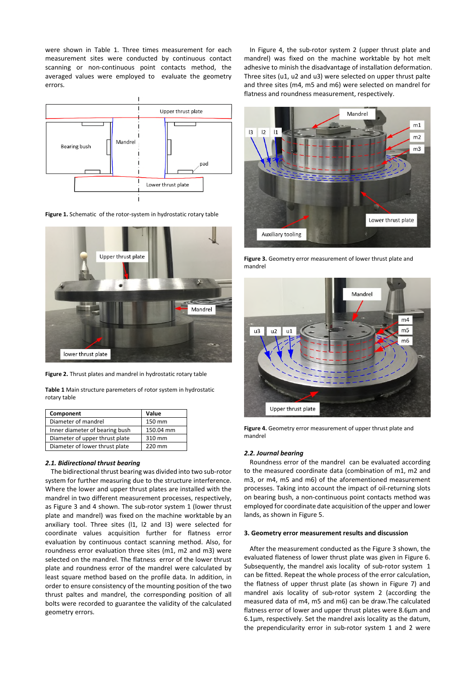were shown in Table 1. Three times measurement for each measurement sites were conducted by continuous contact scanning or non-continuous point contacts method, the averaged values were employed to evaluate the geometry errors.



**Figure 1.** Schematic of the rotor-system in hydrostatic rotary table



**Figure 2.** Thrust plates and mandrel in hydrostatic rotary table

|              | Table 1 Main structure paremeters of rotor system in hydrostatic |  |  |
|--------------|------------------------------------------------------------------|--|--|
| rotary table |                                                                  |  |  |

| Component                      | Value     |  |
|--------------------------------|-----------|--|
| Diameter of mandrel            | 150 mm    |  |
| Inner diameter of bearing bush | 150.04 mm |  |
| Diameter of upper thrust plate | 310 mm    |  |
| Diameter of lower thrust plate | 220 mm    |  |

#### *2.1. Bidirectional thrust bearing*

The bidirectional thrust bearing was divided into two sub-rotor system for further measuring due to the structure interference. Where the lower and upper thrust plates are installed with the mandrel in two different measurement processes, respectively, as Figure 3 and 4 shown. The sub-rotor system 1 (lower thrust plate and mandrel) was fixed on the machine worktable by an anxiliary tool. Three sites (l1, l2 and l3) were selected for coordinate values acquisition further for flatness error evaluation by continuous contact scanning method. Also, for roundness error evaluation three sites (m1, m2 and m3) were selected on the mandrel. The flatness error of the lower thrust plate and roundness error of the mandrel were calculated by least square method based on the profile data. In addition, in order to ensure consistency of the mounting position of the two thrust paltes and mandrel, the corresponding position of all bolts were recorded to guarantee the validity of the calculated geometry errors.

In Figure 4, the sub-rotor system 2 (upper thrust plate and mandrel) was fixed on the machine worktable by hot melt adhesive to minish the disadvantage of installation deformation. Three sites (u1, u2 and u3) were selected on upper thrust palte and three sites (m4, m5 and m6) were selected on mandrel for flatness and roundness measurement, respectively.



**Figure 3.** Geometry error measurement of lower thrust plate and mandrel



**Figure 4.** Geometry error measurement of upper thrust plate and mandrel

# *2.2. Journal bearing*

Roundness error of the mandrel can be evaluated according to the measured coordinate data (combination of m1, m2 and m3, or m4, m5 and m6) of the aforementioned measurement processes. Taking into account the impact of oil-returning slots on bearing bush, a non-continuous point contacts method was employed for coordinate date acquisition of the upper and lower lands, as shown in Figure 5.

## **3. Geometry error measurement results and discussion**

After the measurement conducted as the Figure 3 shown, the evaluated flateness of lower thrust plate was given in Figure 6. Subsequently, the mandrel axis locality of sub-rotor system 1 can be fitted. Repeat the whole process of the error calculation, the flatness of upper thrust plate (as shown in Figure 7) and mandrel axis locality of sub-rotor system 2 (according the measured data of m4, m5 and m6) can be draw.The calculated flatness error of lower and upper thrust plates were 8.6μm and 6.1μm, respectively. Set the mandrel axis locality as the datum, the prependicularity error in sub-rotor system 1 and 2 were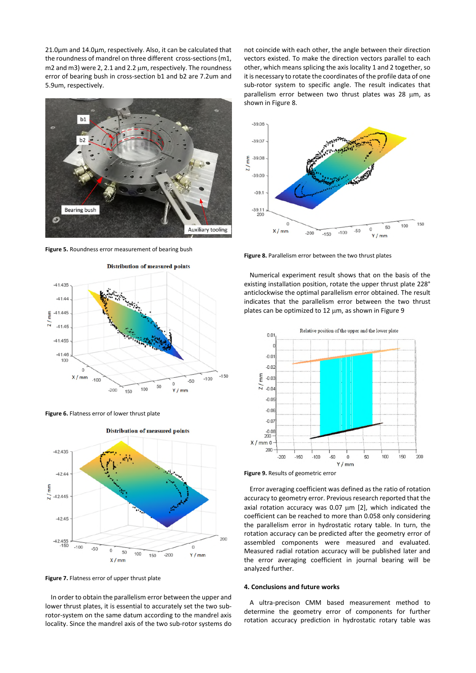21.0μm and 14.0μm, respectively.Also, it can be calculated that the roundness of mandrel on three different cross-sections (m1, m2 and m3) were 2, 2.1 and 2.2 µm, respectively. The roundness error of bearing bush in cross-section b1 and b2 are 7.2um and 5.9um, respectively.



**Figure 5.** Roundness error measurement of bearing bush







**Distribution of measured points** 

**Figure 7.** Flatness error of upper thrust plate

In order to obtain the parallelism error between the upper and lower thrust plates, it is essential to accurately set the two subrotor-system on the same datum according to the mandrel axis locality. Since the mandrel axis of the two sub-rotor systems do not coincide with each other, the angle between their direction vectors existed. To make the direction vectors parallel to each other, which means splicing the axis locality 1 and 2 together, so it is necessary to rotate the coordinates of the profile data of one sub-rotor system to specific angle. The result indicates that parallelism error between two thrust plates was 28 µm, as shown in Figure 8.



**Figure 8.** Parallelism error between the two thrust plates

Numerical experiment result shows that on the basis of the existing installation position, rotate the upper thrust plate 228° anticlockwise the optimal parallelism error obtained. The result indicates that the parallelism error between the two thrust plates can be optimized to 12 um, as shown in Figure 9



**Figure 9.** Results of geometric error

Error averaging coefficient was defined as the ratio of rotation accuracy to geometry error. Previous research reported that the axial rotation accuracy was 0.07 µm [2], which indicated the coefficient can be reached to more than 0.058 only considering the parallelism error in hydrostatic rotary table. In turn, the rotation accuracy can be predicted after the geometry error of assembled components were measured and evaluated. Measured radial rotation accuracy will be published later and the error averaging coefficient in journal bearing will be analyzed further.

#### **4. Conclusions and future works**

A ultra-precison CMM based measurement method to determine the geometry error of components for further rotation accuracy prediction in hydrostatic rotary table was